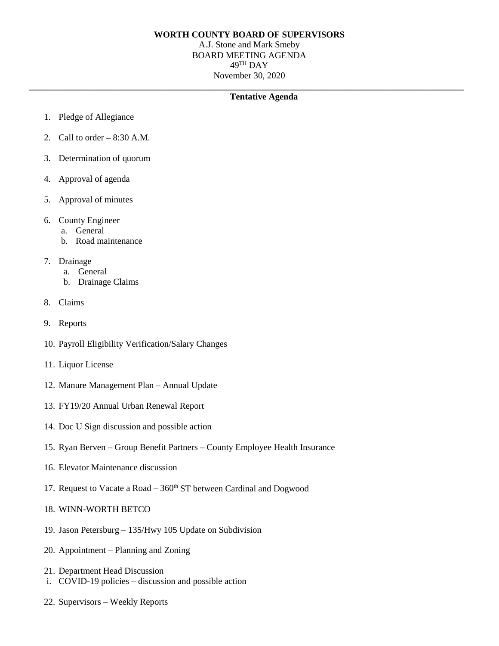## **WORTH COUNTY BOARD OF SUPERVISORS**

A.J. Stone and Mark Smeby BOARD MEETING AGENDA 49TH DAY November 30, 2020

**\_\_\_\_\_\_\_\_\_\_\_\_\_\_\_\_\_\_\_\_\_\_\_\_\_\_\_\_\_\_\_\_\_\_\_\_\_\_\_\_\_\_\_\_\_\_\_\_\_\_\_\_\_\_\_\_\_\_\_\_\_\_\_\_\_\_\_\_\_\_\_\_\_\_\_\_\_\_\_\_\_\_\_\_\_\_\_\_\_\_\_\_\_\_\_\_\_**

## **Tentative Agenda**

- 1. Pledge of Allegiance
- 2. Call to order  $-8:30$  A.M.
- 3. Determination of quorum
- 4. Approval of agenda
- 5. Approval of minutes
- 6. County Engineer
	- a. General
	- b. Road maintenance
- 7. Drainage
	- a. General
	- b. Drainage Claims
- 8. Claims
- 9. Reports
- 10. Payroll Eligibility Verification/Salary Changes
- 11. Liquor License
- 12. Manure Management Plan Annual Update
- 13. FY19/20 Annual Urban Renewal Report
- 14. Doc U Sign discussion and possible action
- 15. Ryan Berven Group Benefit Partners County Employee Health Insurance
- 16. Elevator Maintenance discussion
- 17. Request to Vacate a Road  $-360<sup>th</sup>$  ST between Cardinal and Dogwood
- 18. WINN-WORTH BETCO
- 19. Jason Petersburg 135/Hwy 105 Update on Subdivision
- 20. Appointment Planning and Zoning
- 21. Department Head Discussion
- i. COVID-19 policies discussion and possible action
- 22. Supervisors Weekly Reports